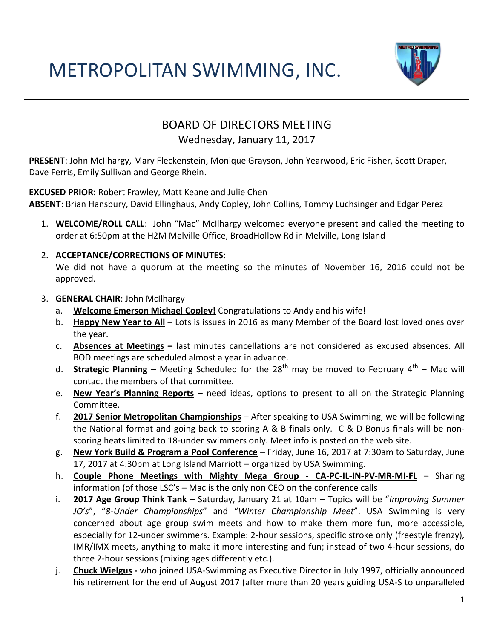### METROPOLITAN SWIMMING, INC.



### BOARD OF DIRECTORS MEETING

#### Wednesday, January 11, 2017

**PRESENT**: John McIlhargy, Mary Fleckenstein, Monique Grayson, John Yearwood, Eric Fisher, Scott Draper, Dave Ferris, Emily Sullivan and George Rhein.

**EXCUSED PRIOR:** Robert Frawley, Matt Keane and Julie Chen

**ABSENT**: Brian Hansbury, David Ellinghaus, Andy Copley, John Collins, Tommy Luchsinger and Edgar Perez

1. **WELCOME/ROLL CALL**: John "Mac" McIlhargy welcomed everyone present and called the meeting to order at 6:50pm at the H2M Melville Office, BroadHollow Rd in Melville, Long Island

#### 2. **ACCEPTANCE/CORRECTIONS OF MINUTES**:

We did not have a quorum at the meeting so the minutes of November 16, 2016 could not be approved.

- 3. **GENERAL CHAIR**: John McIlhargy
	- a. **Welcome Emerson Michael Copley!** Congratulations to Andy and his wife!
	- b. **Happy New Year to All –** Lots is issues in 2016 as many Member of the Board lost loved ones over the year.
	- c. **Absences at Meetings –** last minutes cancellations are not considered as excused absences. All BOD meetings are scheduled almost a year in advance.
	- d. Strategic Planning Meeting Scheduled for the 28<sup>th</sup> may be moved to February 4<sup>th</sup> Mac will contact the members of that committee.
	- e. **New Year's Planning Reports** need ideas, options to present to all on the Strategic Planning Committee.
	- f. **2017 Senior Metropolitan Championships** After speaking to USA Swimming, we will be following the National format and going back to scoring A & B finals only. C & D Bonus finals will be nonscoring heats limited to 18-under swimmers only. Meet info is posted on the web site.
	- g. **New York Build & Program a Pool Conference –** Friday, June 16, 2017 at 7:30am to Saturday, June 17, 2017 at 4:30pm at Long Island Marriott – organized by USA Swimming.
	- h. **Couple Phone Meetings with Mighty Mega Group - CA-PC-IL-IN-PV-MR-MI-FL** Sharing information (of those LSC's – Mac is the only non CEO on the conference calls
	- i. **2017 Age Group Think Tank**  Saturday, January 21 at 10am Topics will be "*Improving Summer JO's*", "*8-Under Championships*" and "*Winter Championship Meet*". USA Swimming is very concerned about age group swim meets and how to make them more fun, more accessible, especially for 12-under swimmers. Example: 2-hour sessions, specific stroke only (freestyle frenzy), IMR/IMX meets, anything to make it more interesting and fun; instead of two 4-hour sessions, do three 2-hour sessions (mixing ages differently etc.).
	- j. **Chuck Wielgus -** who joined USA-Swimming as Executive Director in July 1997, officially announced his retirement for the end of August 2017 (after more than 20 years guiding USA-S to unparalleled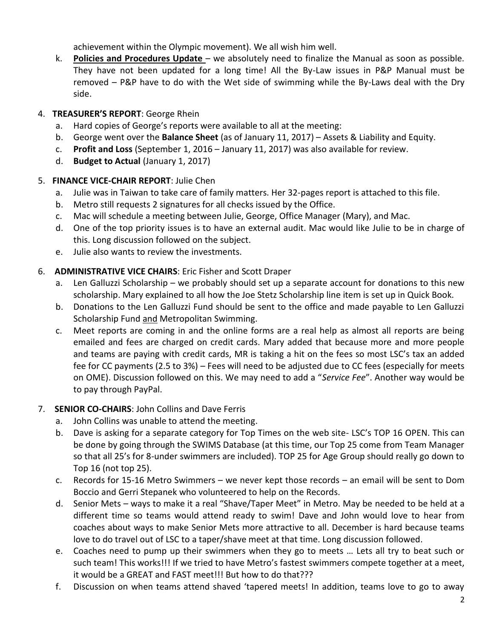achievement within the Olympic movement). We all wish him well.

k. **Policies and Procedures Update** – we absolutely need to finalize the Manual as soon as possible. They have not been updated for a long time! All the By-Law issues in P&P Manual must be removed – P&P have to do with the Wet side of swimming while the By-Laws deal with the Dry side.

#### 4. **TREASURER'S REPORT**: George Rhein

- a. Hard copies of George's reports were available to all at the meeting:
- b. George went over the **Balance Sheet** (as of January 11, 2017) Assets & Liability and Equity.
- c. **Profit and Loss** (September 1, 2016 January 11, 2017) was also available for review.
- d. **Budget to Actual** (January 1, 2017)

#### 5. **FINANCE VICE-CHAIR REPORT**: Julie Chen

- a. Julie was in Taiwan to take care of family matters. Her 32-pages report is attached to this file.
- b. Metro still requests 2 signatures for all checks issued by the Office.
- c. Mac will schedule a meeting between Julie, George, Office Manager (Mary), and Mac.
- d. One of the top priority issues is to have an external audit. Mac would like Julie to be in charge of this. Long discussion followed on the subject.
- e. Julie also wants to review the investments.

#### 6. **ADMINISTRATIVE VICE CHAIRS**: Eric Fisher and Scott Draper

- a. Len Galluzzi Scholarship we probably should set up a separate account for donations to this new scholarship. Mary explained to all how the Joe Stetz Scholarship line item is set up in Quick Book.
- b. Donations to the Len Galluzzi Fund should be sent to the office and made payable to Len Galluzzi Scholarship Fund and Metropolitan Swimming.
- c. Meet reports are coming in and the online forms are a real help as almost all reports are being emailed and fees are charged on credit cards. Mary added that because more and more people and teams are paying with credit cards, MR is taking a hit on the fees so most LSC's tax an added fee for CC payments (2.5 to 3%) – Fees will need to be adjusted due to CC fees (especially for meets on OME). Discussion followed on this. We may need to add a "*Service Fee*". Another way would be to pay through PayPal.

#### 7. **SENIOR CO-CHAIRS**: John Collins and Dave Ferris

- a. John Collins was unable to attend the meeting.
- b. Dave is asking for a separate category for Top Times on the web site- LSC's TOP 16 OPEN. This can be done by going through the SWIMS Database (at this time, our Top 25 come from Team Manager so that all 25's for 8-under swimmers are included). TOP 25 for Age Group should really go down to Top 16 (not top 25).
- c. Records for 15-16 Metro Swimmers we never kept those records an email will be sent to Dom Boccio and Gerri Stepanek who volunteered to help on the Records.
- d. Senior Mets ways to make it a real "Shave/Taper Meet" in Metro. May be needed to be held at a different time so teams would attend ready to swim! Dave and John would love to hear from coaches about ways to make Senior Mets more attractive to all. December is hard because teams love to do travel out of LSC to a taper/shave meet at that time. Long discussion followed.
- e. Coaches need to pump up their swimmers when they go to meets … Lets all try to beat such or such team! This works!!! If we tried to have Metro's fastest swimmers compete together at a meet, it would be a GREAT and FAST meet!!! But how to do that???
- f. Discussion on when teams attend shaved 'tapered meets! In addition, teams love to go to away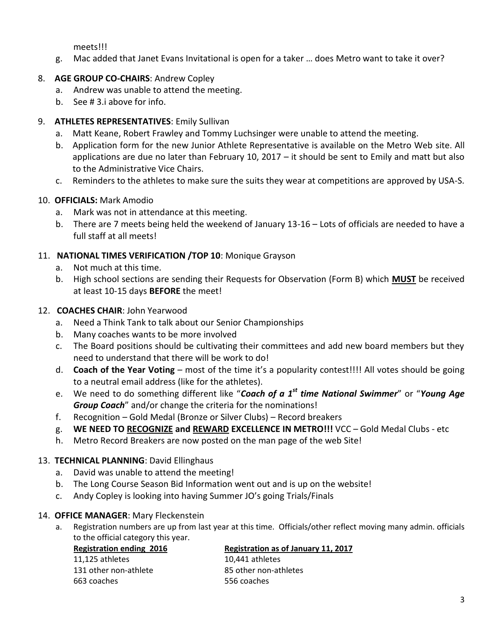meets!!!

g. Mac added that Janet Evans Invitational is open for a taker … does Metro want to take it over?

#### 8. **AGE GROUP CO-CHAIRS**: Andrew Copley

- a. Andrew was unable to attend the meeting.
- b. See # 3.i above for info.

#### 9. **ATHLETES REPRESENTATIVES**: Emily Sullivan

- a. Matt Keane, Robert Frawley and Tommy Luchsinger were unable to attend the meeting.
- b. Application form for the new Junior Athlete Representative is available on the Metro Web site. All applications are due no later than February 10, 2017 – it should be sent to Emily and matt but also to the Administrative Vice Chairs.
- c. Reminders to the athletes to make sure the suits they wear at competitions are approved by USA-S.

#### 10. **OFFICIALS:** Mark Amodio

- a. Mark was not in attendance at this meeting.
- b. There are 7 meets being held the weekend of January 13-16 Lots of officials are needed to have a full staff at all meets!

#### 11. **NATIONAL TIMES VERIFICATION /TOP 10**: Monique Grayson

- a. Not much at this time.
- b. High school sections are sending their Requests for Observation (Form B) which **MUST** be received at least 10-15 days **BEFORE** the meet!

#### 12. **COACHES CHAIR**: John Yearwood

- a. Need a Think Tank to talk about our Senior Championships
- b. Many coaches wants to be more involved
- c. The Board positions should be cultivating their committees and add new board members but they need to understand that there will be work to do!
- d. **Coach of the Year Voting** most of the time it's a popularity contest!!!! All votes should be going to a neutral email address (like for the athletes).
- e. We need to do something different like "*Coach of a 1 st time National Swimmer*" or "*Young Age Group Coach*" and/or change the criteria for the nominations!
- f. Recognition Gold Medal (Bronze or Silver Clubs) Record breakers
- g. **WE NEED TO RECOGNIZE and REWARD EXCELLENCE IN METRO!!!** VCC Gold Medal Clubs etc
- h. Metro Record Breakers are now posted on the man page of the web Site!

#### 13. **TECHNICAL PLANNING**: David Ellinghaus

- a. David was unable to attend the meeting!
- b. The Long Course Season Bid Information went out and is up on the website!
- c. Andy Copley is looking into having Summer JO's going Trials/Finals

#### 14. **OFFICE MANAGER**: Mary Fleckenstein

a. Registration numbers are up from last year at this time. Officials/other reflect moving many admin. officials to the official category this year.

**Registration ending 2016**

11,125 athletes 131 other non-athlete 663 coaches

#### **Registration as of January 11, 2017**

10,441 athletes 85 other non-athletes 556 coaches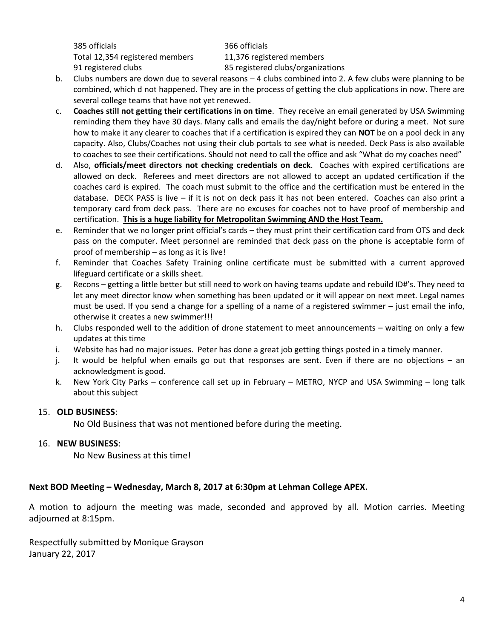385 officials Total 12,354 registered members 91 registered clubs

366 officials 11,376 registered members 85 registered clubs/organizations

- b. Clubs numbers are down due to several reasons 4 clubs combined into 2. A few clubs were planning to be combined, which d not happened. They are in the process of getting the club applications in now. There are several college teams that have not yet renewed.
- c. **Coaches still not getting their certifications in on time**. They receive an email generated by USA Swimming reminding them they have 30 days. Many calls and emails the day/night before or during a meet. Not sure how to make it any clearer to coaches that if a certification is expired they can **NOT** be on a pool deck in any capacity. Also, Clubs/Coaches not using their club portals to see what is needed. Deck Pass is also available to coaches to see their certifications. Should not need to call the office and ask "What do my coaches need"
- d. Also, **officials/meet directors not checking credentials on deck**. Coaches with expired certifications are allowed on deck. Referees and meet directors are not allowed to accept an updated certification if the coaches card is expired. The coach must submit to the office and the certification must be entered in the database. DECK PASS is live  $-$  if it is not on deck pass it has not been entered. Coaches can also print a temporary card from deck pass. There are no excuses for coaches not to have proof of membership and certification. **This is a huge liability for Metropolitan Swimming AND the Host Team.**
- e. Reminder that we no longer print official's cards they must print their certification card from OTS and deck pass on the computer. Meet personnel are reminded that deck pass on the phone is acceptable form of proof of membership – as long as it is live!
- f. Reminder that Coaches Safety Training online certificate must be submitted with a current approved lifeguard certificate or a skills sheet.
- g. Recons getting a little better but still need to work on having teams update and rebuild ID#'s. They need to let any meet director know when something has been updated or it will appear on next meet. Legal names must be used. If you send a change for a spelling of a name of a registered swimmer – just email the info, otherwise it creates a new swimmer!!!
- h. Clubs responded well to the addition of drone statement to meet announcements waiting on only a few updates at this time
- i. Website has had no major issues. Peter has done a great job getting things posted in a timely manner.
- j. It would be helpful when emails go out that responses are sent. Even if there are no objections an acknowledgment is good.
- k. New York City Parks conference call set up in February METRO, NYCP and USA Swimming long talk about this subject

#### 15. **OLD BUSINESS**:

No Old Business that was not mentioned before during the meeting.

#### 16. **NEW BUSINESS**:

No New Business at this time!

#### **Next BOD Meeting – Wednesday, March 8, 2017 at 6:30pm at Lehman College APEX.**

A motion to adjourn the meeting was made, seconded and approved by all. Motion carries. Meeting adjourned at 8:15pm.

Respectfully submitted by Monique Grayson January 22, 2017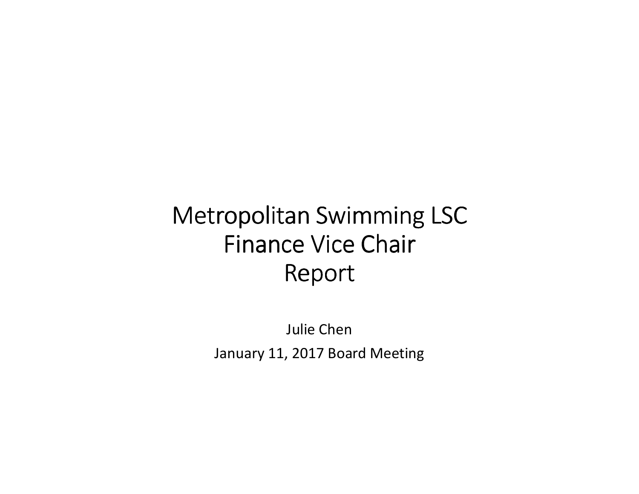## Metropolitan Swimming LSCFinance Vice Chair Report

Julie ChenJanuary 11, 2017 Board Meeting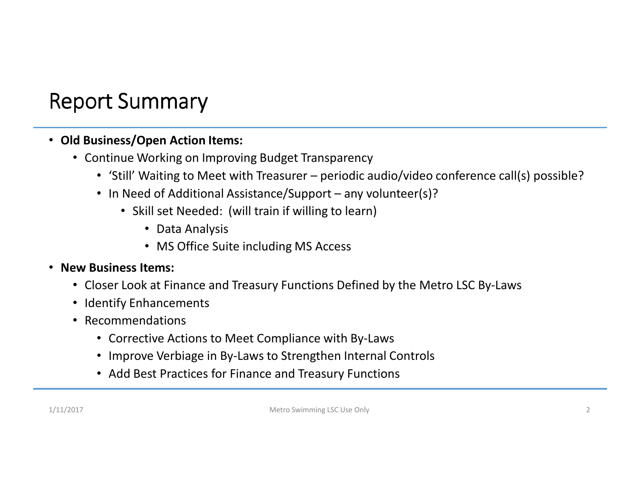### Report Summary

### • **Old Business/Open Action Items:**

- Continue Working on Improving Budget Transparency
	- 'Still' Waiting to Meet with Treasurer periodic audio/video conference call(s) possible?
	- In Need of Additional Assistance/Support any volunteer(s)?
		- Skill set Needed: (will train if willing to learn)
			- Data Analysis
			- MS Office Suite including MS Access

### • **New Business Items:**

- Closer Look at Finance and Treasury Functions Defined by the Metro LSC By-Laws
- Identify Enhancements
- Recommendations
	- Corrective Actions to Meet Compliance with By-Laws
	- Improve Verbiage in By-Laws to Strengthen Internal Controls
	- Add Best Practices for Finance and Treasury Functions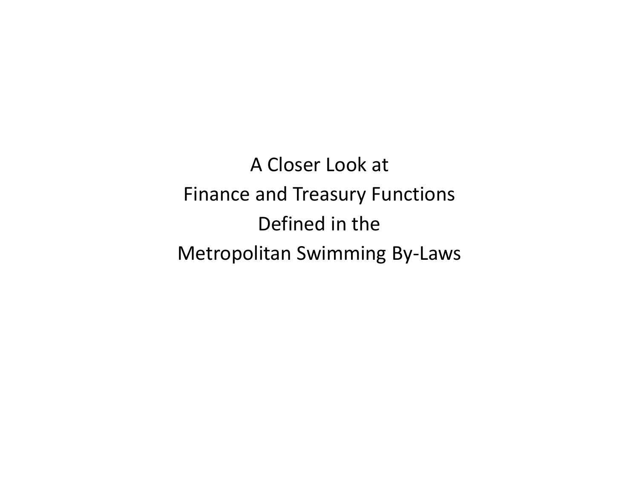A Closer Look at Finance and Treasury FunctionsDefined in the Metropolitan Swimming By-Laws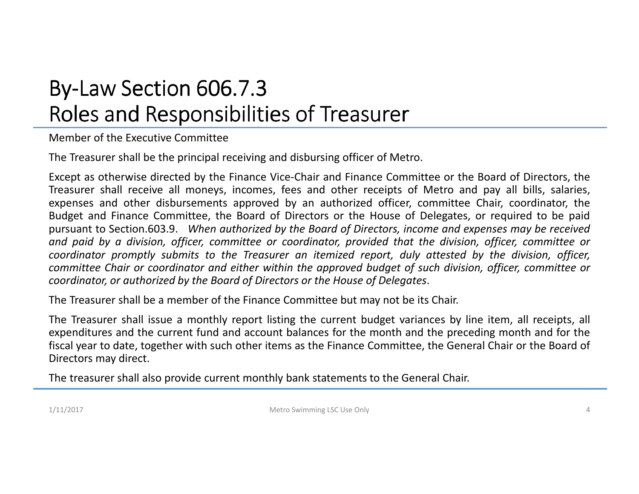## By-Law Section 606.7.3<br>-Roles and Responsibilities of Treasurer

Member of the Executive Committee

The Treasurer shall be the principal receiving and disbursing officer of Metro.

Except as otherwise directed by the Finance Vice-Chair and Finance Committee or the Board of Directors, the Treasurer shall receive all moneys, incomes, fees and other receipts of Metro and pay all bills, salaries, expenses and other disbursements approved by an authorized officer, committee Chair, coordinator, the Budget and Finance Committee, the Board of Directors or the House of Delegates, or required to be paidpursuant to Section.603.9. When authorized by the Board of Directors, income and expenses may be received and paid by a division, officer, committee or coordinator, provided that the division, officer, committee or coordinator promptly submits to the Treasurer an itemized report, duly attested by the division, officer, committee Chair or coordinator and either within the approved budget of such division, officer, committee or coordinator, or authorized by the Board of Directors or the House of Delegates.

The Treasurer shall be <sup>a</sup> member of the Finance Committee but may not be its Chair.

The Treasurer shall issue <sup>a</sup> monthly report listing the current budget variances by line item, all receipts, all expenditures and the current fund and account balances for the month and the preceding month and for the fiscal year to date, together with such other items as the Finance Committee, the General Chair or the Board of Directors may direct.

The treasurer shall also provide current monthly bank statements to the General Chair.

1/11/2017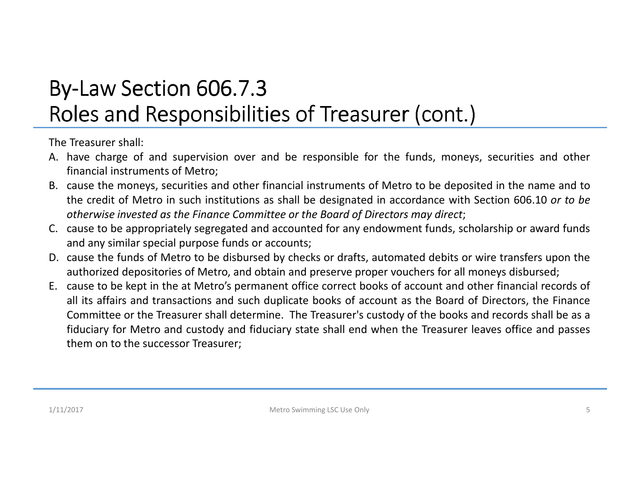### By-Law Section 606.7.3<br>-Roles and Responsibilities of Treasurer (cont.)

The Treasurer shall:

- A. have charge of and supervision over and be responsible for the funds, moneys, securities and other financial instruments of Metro;
- B. cause the moneys, securities and other financial instruments of Metro to be deposited in the name and to the credit of Metro in such institutions as shall be designated in accordance with Section 606.10 *or to be* otherwise invested as the Finance Committee or the Board of Directors may direct;
- C. cause to be appropriately segregated and accounted for any endowment funds, scholarship or award funds and any similar special purpose funds or accounts;
- D. cause the funds of Metro to be disbursed by checks or drafts, automated debits or wire transfers upon the authorized depositories of Metro, and obtain and preserve proper vouchers for all moneys disbursed;
- E. cause to be kept in the at Metro's permanent office correct books of account and other financial records of all its affairs and transactions and such duplicate books of account as the Board of Directors, the Finance Committee or the Treasurer shall determine. The Treasurer's custody of the books and records shall be as <sup>a</sup> fiduciary for Metro and custody and fiduciary state shall end when the Treasurer leaves office and passes them on to the successor Treasurer;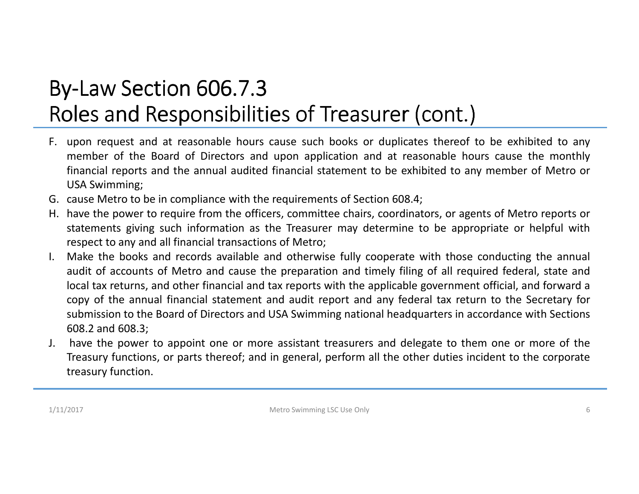## By-Law Section 606.7.3<br>-Roles and Responsibilities of Treasurer (cont.)

- F. upon request and at reasonable hours cause such books or duplicates thereof to be exhibited to any member of the Board of Directors and upon application and at reasonable hours cause the monthly financial reports and the annual audited financial statement to be exhibited to any member of Metro or USA Swimming;
- G. cause Metro to be in compliance with the requirements of Section 608.4;
- H. have the power to require from the officers, committee chairs, coordinators, or agents of Metro reports or statements giving such information as the Treasurer may determine to be appropriate or helpful withrespect to any and all financial transactions of Metro;
- I. Make the books and records available and otherwise fully cooperate with those conducting the annual audit of accounts of Metro and cause the preparation and timely filing of all required federal, state and local tax returns, and other financial and tax reports with the applicable government official, and forward <sup>a</sup> copy of the annual financial statement and audit report and any federal tax return to the Secretary for submission to the Board of Directors and USA Swimming national headquarters in accordance with Sections 608.2 and 608.3;
- J. have the power to appoint one or more assistant treasurers and delegate to them one or more of the Treasury functions, or parts thereof; and in general, perform all the other duties incident to the corporate treasury function.

1/11/2017

Metro Swimming LSC Use Only 6 and the US of the US of the US of the US of the US of the US of the US of the US of the US of the US of the US of the US of the US of the US of the US of the US of the US of the US of the US o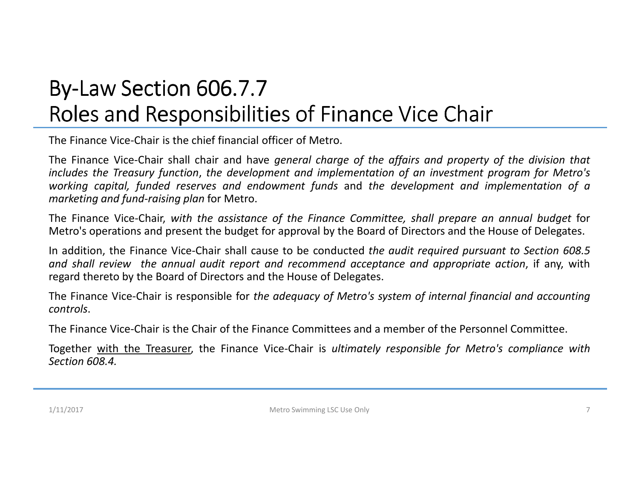### By-Law Section 606.7.7<br>-Roles and Responsibilities of Finance Vice Chair

The Finance Vice-Chair is the chief financial officer of Metro.

The Finance Vice-Chair shall chair and have general charge of the affairs and property of the division that includes the Treasury function, the development and implementation of an investment program for Metro's working capital, funded reserves and endowment funds and the development and implementation of a *marketing and fund-raising plan* for Metro.

The Finance Vice-Chair, with the assistance of the Finance Committee, shall prepare an annual budget for Metro's operations and present the budget for approval by the Board of Directors and the House of Delegates.

In addition, the Finance Vice-Chair shall cause to be conducted *the audit required pursuant to Section 608.5* and shall review the annual audit report and recommend acceptance and appropriate action, if any, with regard thereto by the Board of Directors and the House of Delegates.

The Finance Vice-Chair is responsible for the adequacy of Metro's system of internal financial and accounting *controls*.

The Finance Vice-Chair is the Chair of the Finance Committees and <sup>a</sup> member of the Personnel Committee.

Together with the Treasurer, the Finance Vice-Chair is *ultimately responsible for Metro's compliance withSection 608.4.*

1/11/2017

Metro Swimming LSC Use Only 7 7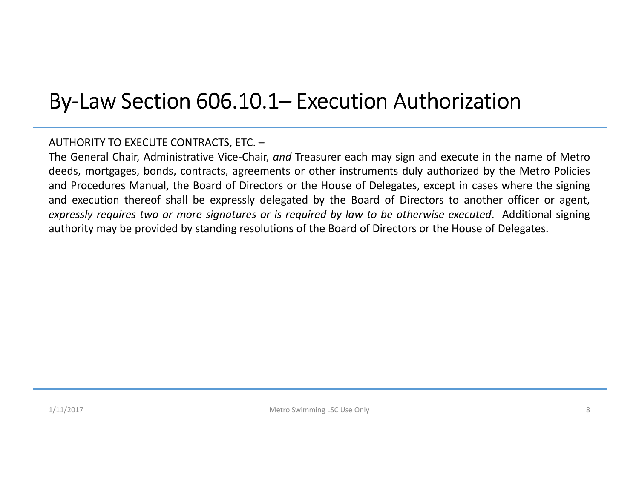# By-Law Section 606.10.1– Execution Authorization

### AUTHORITY TO EXECUTE CONTRACTS, ETC. –

The General Chair, Administrative Vice-Chair, *and* Treasurer each may sign and execute in the name of Metro deeds, mortgages, bonds, contracts, agreements or other instruments duly authorized by the Metro Policies and Procedures Manual, the Board of Directors or the House of Delegates, except in cases where the signing and execution thereof shall be expressly delegated by the Board of Directors to another officer or agent, expressly requires two or more signatures or is required by law to be otherwise executed. Additional signing authority may be provided by standing resolutions of the Board of Directors or the House of Delegates.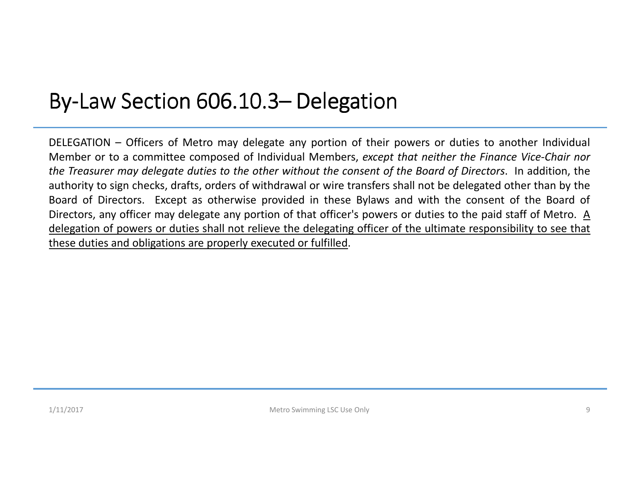# By-Law Section 606.10.3– Delegation

DELEGATION – Officers of Metro may delegate any portion of their powers or duties to another Individual Member or to <sup>a</sup> committee composed of Individual Members, *except that neither the Finance Vice-Chair nor* the Treasurer may delegate duties to the other without the consent of the Board of Directors. In addition, the authority to sign checks, drafts, orders of withdrawal or wire transfers shall not be delegated other than by the Board of Directors. Except as otherwise provided in these Bylaws and with the consent of the Board of Directors, any officer may delegate any portion of that officer's powers or duties to the paid staff of Metro. <sup>A</sup> delegation of powers or duties shall not relieve the delegating officer of the ultimate responsibility to see that these duties and obligations are properly executed or fulfilled.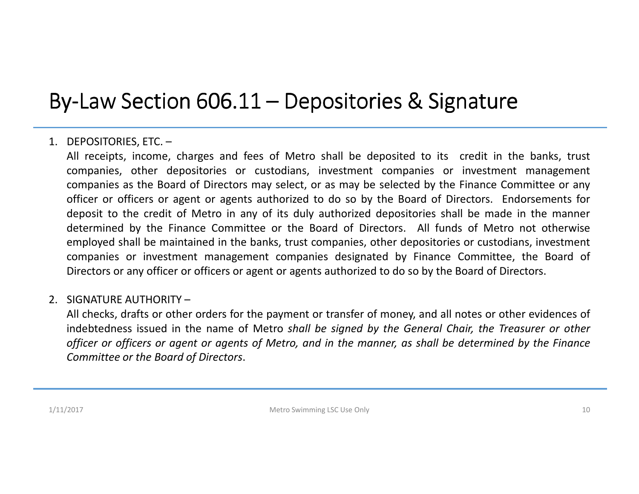### By-Law Section 606.11 – Depositories & Signature

### 1. DEPOSITORIES, ETC. –

All receipts, income, charges and fees of Metro shall be deposited to its credit in the banks, trust companies, other depositories or custodians, investment companies or investment management companies as the Board of Directors may select, or as may be selected by the Finance Committee or any officer or officers or agent or agents authorized to do so by the Board of Directors. Endorsements for deposit to the credit of Metro in any of its duly authorized depositories shall be made in the manner determined by the Finance Committee or the Board of Directors. All funds of Metro not otherwise employed shall be maintained in the banks, trust companies, other depositories or custodians, investment companies or investment management companies designated by Finance Committee, the Board of Directors or any officer or officers or agent or agents authorized to do so by the Board of Directors.

### 2. SIGNATURE AUTHORITY –

All checks, drafts or other orders for the payment or transfer of money, and all notes or other evidences of indebtedness issued in the name of Metro *shall be signed by the General Chair, the Treasurer or other* officer or officers or agent or agents of Metro, and in the manner, as shall be determined by the Finance *Committee or the Board of Directors*.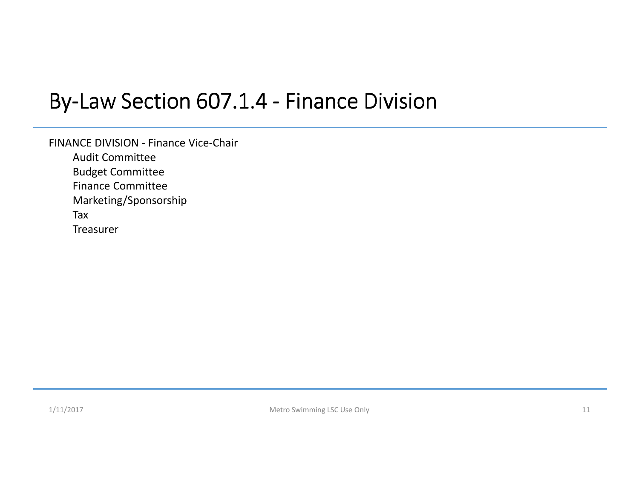### By-Law Section 607.1.4 - Finance Division

FINANCE DIVISION - Finance Vice-Chair Audit Committee Budget Committee Finance Committee Marketing/Sponsorship

Tax

Treasurer

1/11/2017

Metro Swimming LSC Use Only 11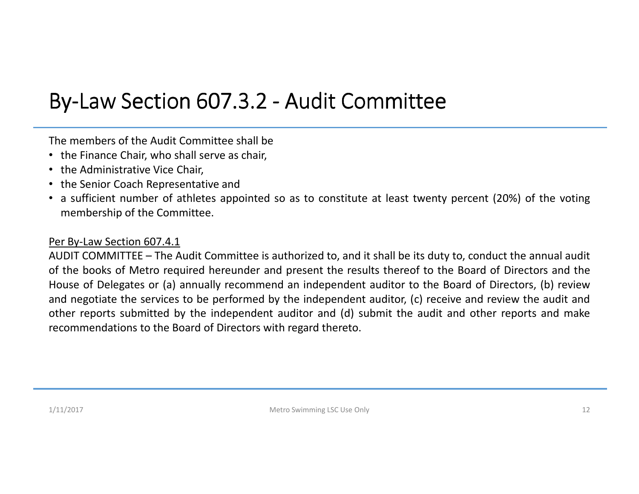### By-Law Section 607.3.2 - Audit Committee

The members of the Audit Committee shall be

- the Finance Chair, who shall serve as chair,
- the Administrative Vice Chair,
- the Senior Coach Representative and
- <sup>a</sup> sufficient number of athletes appointed so as to constitute at least twenty percent (20%) of the voting membership of the Committee.

#### Per By-Law Section 607.4.1

 AUDIT COMMITTEE – The Audit Committee is authorized to, and it shall be its duty to, conduct the annual audit of the books of Metro required hereunder and present the results thereof to the Board of Directors and the House of Delegates or (a) annually recommend an independent auditor to the Board of Directors, (b) review and negotiate the services to be performed by the independent auditor, (c) receive and review the audit and other reports submitted by the independent auditor and (d) submit the audit and other reports and make recommendations to the Board of Directors with regard thereto.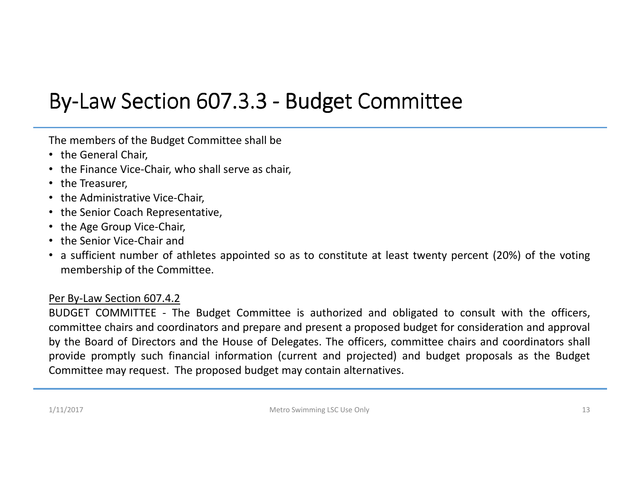### By-Law Section 607.3.3 - Budget Committee

The members of the Budget Committee shall be

- the General Chair,
- the Finance Vice-Chair, who shall serve as chair,
- the Treasurer,
- the Administrative Vice-Chair,
- the Senior Coach Representative,
- the Age Group Vice-Chair,
- the Senior Vice-Chair and
- <sup>a</sup> sufficient number of athletes appointed so as to constitute at least twenty percent (20%) of the voting membership of the Committee.

#### Per By-Law Section 607.4.2

 BUDGET COMMITTEE - The Budget Committee is authorized and obligated to consult with the officers, committee chairs and coordinators and prepare and present <sup>a</sup> proposed budget for consideration and approval by the Board of Directors and the House of Delegates. The officers, committee chairs and coordinators shall provide promptly such financial information (current and projected) and budget proposals as the Budget Committee may request. The proposed budget may contain alternatives.

1/11/2017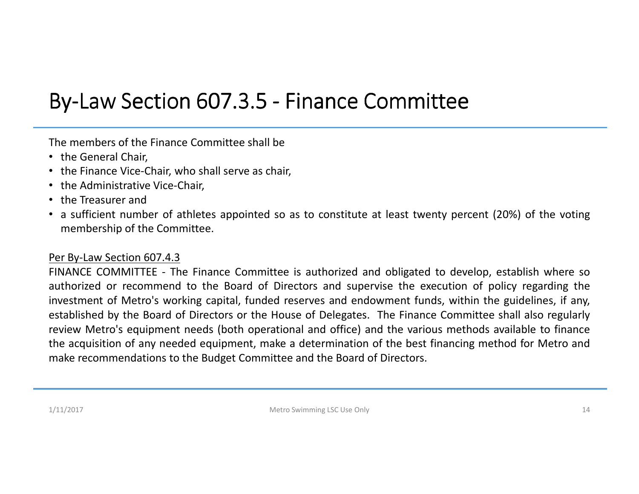### By-Law Section 607.3.5 - Finance Committee

The members of the Finance Committee shall be

- the General Chair,
- the Finance Vice-Chair, who shall serve as chair,
- the Administrative Vice-Chair,
- the Treasurer and
- <sup>a</sup> sufficient number of athletes appointed so as to constitute at least twenty percent (20%) of the voting membership of the Committee.

### Per By-Law Section 607.4.3

 FINANCE COMMITTEE - The Finance Committee is authorized and obligated to develop, establish where so authorized or recommend to the Board of Directors and supervise the execution of policy regarding the investment of Metro's working capital, funded reserves and endowment funds, within the guidelines, if any, established by the Board of Directors or the House of Delegates. The Finance Committee shall also regularly review Metro's equipment needs (both operational and office) and the various methods available to finance the acquisition of any needed equipment, make <sup>a</sup> determination of the best financing method for Metro andmake recommendations to the Budget Committee and the Board of Directors.

1/11/2017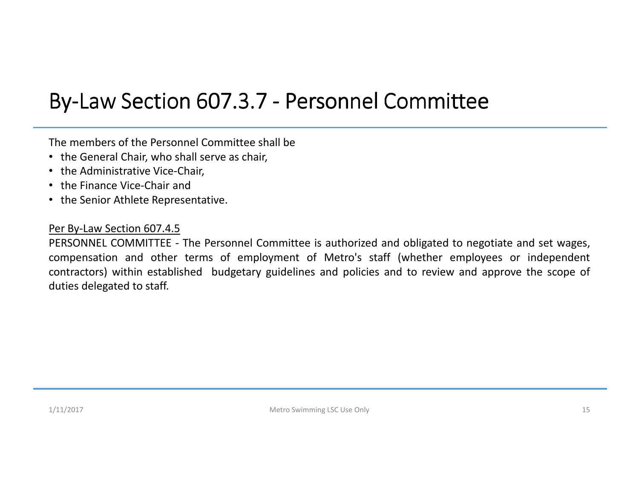### By-Law Section 607.3.7 - Personnel Committee

The members of the Personnel Committee shall be

- the General Chair, who shall serve as chair,
- the Administrative Vice-Chair,
- the Finance Vice-Chair and
- the Senior Athlete Representative.

#### Per By-Law Section 607.4.5

 PERSONNEL COMMITTEE - The Personnel Committee is authorized and obligated to negotiate and set wages, compensation and other terms of employment of Metro's staff (whether employees or independent contractors) within established budgetary guidelines and policies and to review and approve the scope of duties delegated to staff.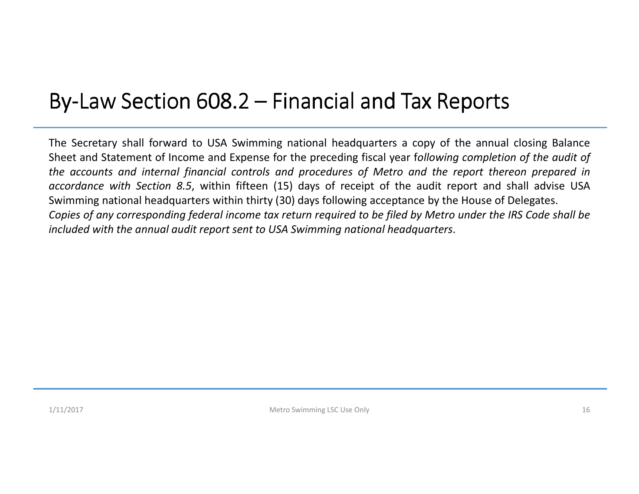### By-Law Section  $608.2$  – Financial and Tax Reports

The Secretary shall forward to USA Swimming national headquarters <sup>a</sup> copy of the annual closing Balance Sheet and Statement of Income and Expense for the preceding fiscal year <sup>f</sup>*ollowing completion of the audit of* the accounts and internal financial controls and procedures of Metro and the report thereon prepared in *accordance with Section 8.5*, within fifteen (15) days of receipt of the audit report and shall advise USASwimming national headquarters within thirty (30) days following acceptance by the House of Delegates. Copies of any corresponding federal income tax return required to be filed by Metro under the IRS Code shall be included with the annual audit report sent to USA Swimming national headquarters.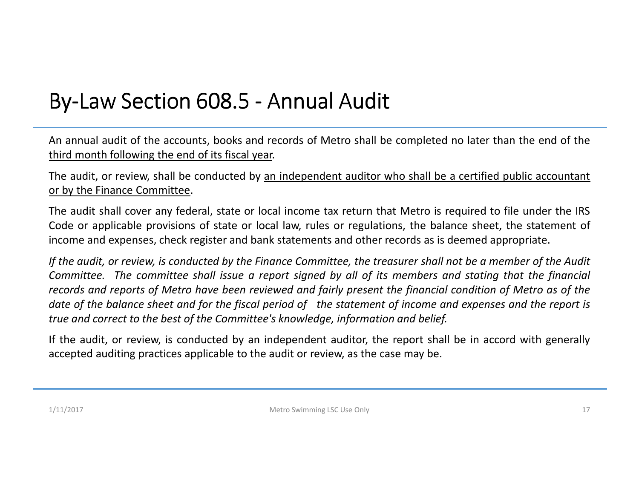### By-Law Section 608.5 - Annual Audit

An annual audit of the accounts, books and records of Metro shall be completed no later than the end of the third month following the end of its fiscal year.

The audit, or review, shall be conducted by an independent auditor who shall be <sup>a</sup> certified public accountant or by the Finance Committee.

The audit shall cover any federal, state or local income tax return that Metro is required to file under the IRS Code or applicable provisions of state or local law, rules or regulations, the balance sheet, the statement of income and expenses, check register and bank statements and other records as is deemed appropriate.

If the audit, or review, is conducted by the Finance Committee, the treasurer shall not be a member of the Audit Committee. The committee shall issue a report signed by all of its members and stating that the financial records and reports of Metro have been reviewed and fairly present the financial condition of Metro as of the date of the balance sheet and for the fiscal period of the statement of income and expenses and the report is true and correct to the best of the Committee's knowledge, information and belief.

If the audit, or review, is conducted by an independent auditor, the report shall be in accord with generally accepted auditing practices applicable to the audit or review, as the case may be.

1/11/2017

Metro Swimming LSC Use Only 17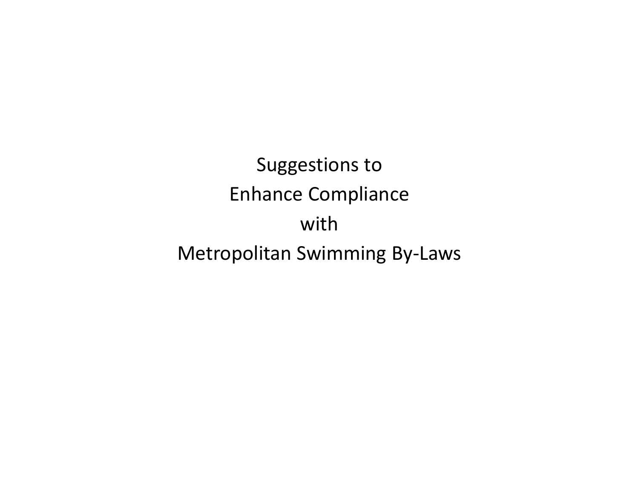Suggestions to Enhance CompliancewithMetropolitan Swimming By-Laws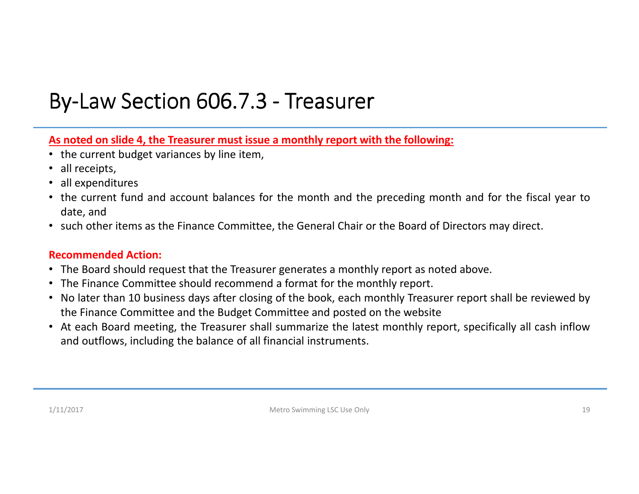## By-Law Section 606.7.3 - Treasurer

As noted on slide 4, the Treasurer must issue a monthly report with the following:

- the current budget variances by line item,
- •all receipts,
- $\bullet$ all expenditures
- the current fund and account balances for the month and the preceding month and for the fiscal year todate, and
- such other items as the Finance Committee, the General Chair or the Board of Directors may direct.

- The Board should request that the Treasurer generates <sup>a</sup> monthly report as noted above.
- The Finance Committee should recommend <sup>a</sup> format for the monthly report.
- No later than <sup>10</sup> business days after closing of the book, each monthly Treasurer report shall be reviewed by the Finance Committee and the Budget Committee and posted on the website
- At each Board meeting, the Treasurer shall summarize the latest monthly report, specifically all cash inflowand outflows, including the balance of all financial instruments.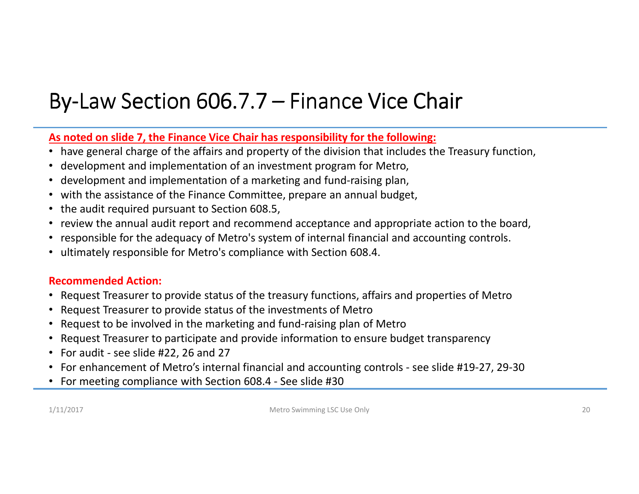### By-Law Section  $606.7.7$  – Finance Vice Chair

### As noted on slide 7, the Finance Vice Chair has responsibility for the following:

- have general charge of the affairs and property of the division that includes the Treasury function,
- •development and implementation of an investment program for Metro,
- •development and implementation of <sup>a</sup> marketing and fund-raising plan,
- with the assistance of the Finance Committee, prepare an annual budget,
- the audit required pursuant to Section 608.5,
- review the annual audit report and recommend acceptance and appropriate action to the board,
- •responsible for the adequacy of Metro's system of internal financial and accounting controls.
- ultimately responsible for Metro's compliance with Section 608.4.

#### **Recommended Action:**

- Request Treasurer to provide status of the treasury functions, affairs and properties of Metro
- Request Treasurer to provide status of the investments of Metro
- Request to be involved in the marketing and fund-raising plan of Metro  $\bullet$
- Request Treasurer to participate and provide information to ensure budget transparency  $\bullet$
- For audit see slide #22, <sup>26</sup> and <sup>27</sup>
- For enhancement of Metro's internal financial and accounting controls see slide #19-27, 29-30
- For meeting compliance with Section 608.4 See slide #30

1/11/2017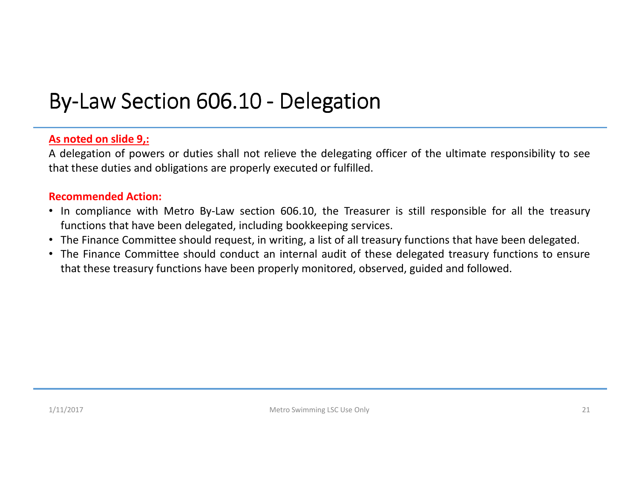# By-Law Section 606.10 - Delegation

### **As noted on slide 9,:**

<sup>A</sup> delegation of powers or duties shall not relieve the delegating officer of the ultimate responsibility to see that these duties and obligations are properly executed or fulfilled.

- In compliance with Metro By-Law section 606.10, the Treasurer is still responsible for all the treasury functions that have been delegated, including bookkeeping services.
- The Finance Committee should request, in writing, <sup>a</sup> list of all treasury functions that have been delegated.
- The Finance Committee should conduct an internal audit of these delegated treasury functions to ensure that these treasury functions have been properly monitored, observed, guided and followed.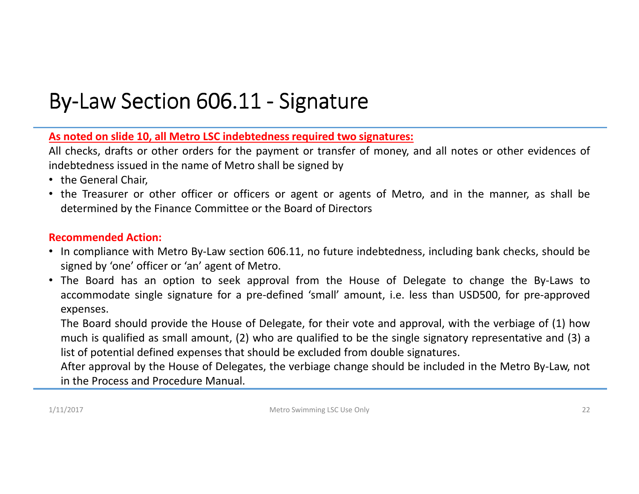### By-Law Section  $606.11$  - Signature

<u>As noted on slide 10, all Metro LSC indebtedness required two signatures:</u>

All checks, drafts or other orders for the payment or transfer of money, and all notes or other evidences of indebtedness issued in the name of Metro shall be signed by

- the General Chair,
- the Treasurer or other officer or officers or agent or agents of Metro, and in the manner, as shall be determined by the Finance Committee or the Board of Directors

### **Recommended Action:**

- In compliance with Metro By-Law section 606.11, no future indebtedness, including bank checks, should be signed by 'one' officer or 'an' agent of Metro.
- The Board has an option to seek approval from the House of Delegate to change the By-Laws to accommodate single signature for <sup>a</sup> pre-defined 'small' amount, i.e. less than USD500, for pre-approvedexpenses.

The Board should provide the House of Delegate, for their vote and approval, with the verbiage of (1) how much is qualified as small amount, (2) who are qualified to be the single signatory representative and (3) <sup>a</sup> list of potential defined expenses that should be excluded from double signatures.

After approval by the House of Delegates, the verbiage change should be included in the Metro By-Law, not in the Process and Procedure Manual.

1/11/2017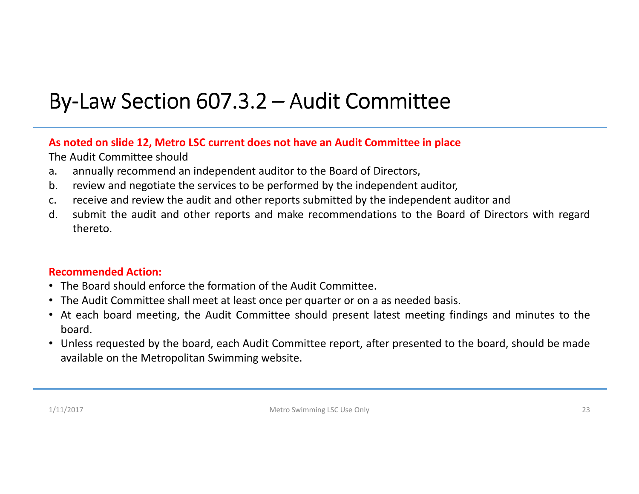### By-Law Section  $607.3.2 -$  Audit Committee

As noted on slide 12, Metro LSC current does not have an Audit Committee in place

The Audit Committee should

- a. annually recommend an independent auditor to the Board of Directors,
- b. review and negotiate the services to be performed by the independent auditor,
- c. receive and review the audit and other reports submitted by the independent auditor and<br>d. submit the audit and other reports and make recommendations to the Board of Direct
- d. submit the audit and other reports and make recommendations to the Board of Directors with regardthereto.

### **Recommended Action:**

- The Board should enforce the formation of the Audit Committee.
- The Audit Committee shall meet at least once per quarter or on <sup>a</sup> as needed basis.
- At each board meeting, the Audit Committee should present latest meeting findings and minutes to the board.
- Unless requested by the board, each Audit Committee report, after presented to the board, should be made available on the Metropolitan Swimming website.

1/11/2017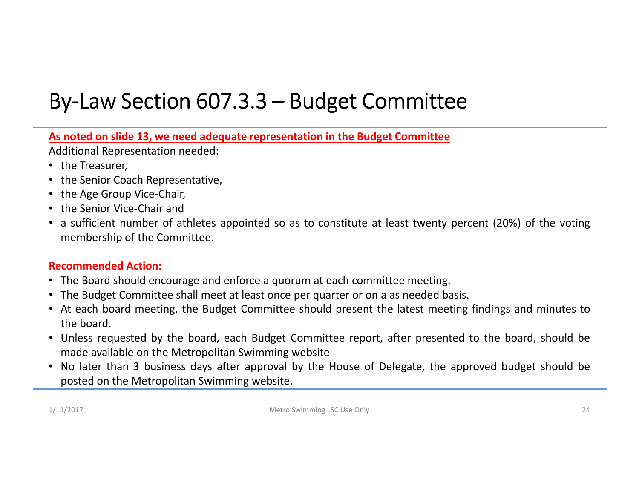### By-Law Section  $607.3.3 -$  Budget Committee

As noted on slide 13, we need adequate representation in the Budget Committee

Additional Representation needed:

- the Treasurer,
- the Senior Coach Representative,
- the Age Group Vice-Chair,
- the Senior Vice-Chair and
- <sup>a</sup> sufficient number of athletes appointed so as to constitute at least twenty percent (20%) of the voting membership of the Committee.

### **Recommended Action:**

- The Board should encourage and enforce <sup>a</sup> quorum at each committee meeting.
- The Budget Committee shall meet at least once per quarter or on <sup>a</sup> as needed basis.
- At each board meeting, the Budget Committee should present the latest meeting findings and minutes tothe board.
- Unless requested by the board, each Budget Committee report, after presented to the board, should be made available on the Metropolitan Swimming website
- No later than <sup>3</sup> business days after approval by the House of Delegate, the approved budget should be posted on the Metropolitan Swimming website.

1/11/2017

Metro Swimming LSC Use Only 24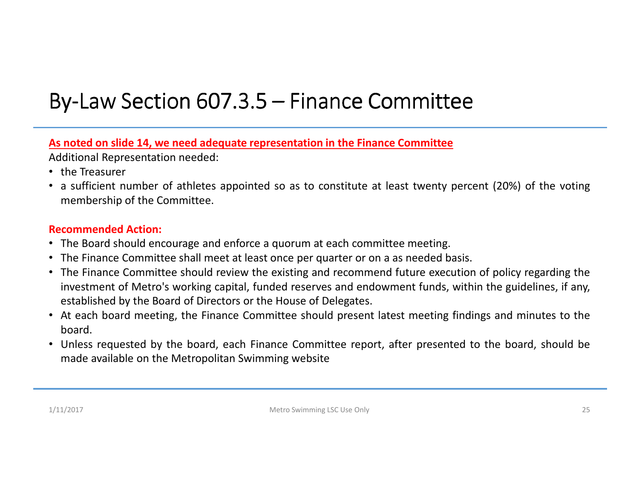### By-Law Section  $607.3.5$  – Finance Committee

As noted on slide 14, we need adequate representation in the Finance Committee

Additional Representation needed:

- the Treasurer
- <sup>a</sup> sufficient number of athletes appointed so as to constitute at least twenty percent (20%) of the voting membership of the Committee.

### **Recommended Action:**

- The Board should encourage and enforce <sup>a</sup> quorum at each committee meeting.
- The Finance Committee shall meet at least once per quarter or on <sup>a</sup> as needed basis.
- The Finance Committee should review the existing and recommend future execution of policy regarding the investment of Metro's working capital, funded reserves and endowment funds, within the guidelines, if any, established by the Board of Directors or the House of Delegates.
- At each board meeting, the Finance Committee should present latest meeting findings and minutes to the board.
- Unless requested by the board, each Finance Committee report, after presented to the board, should be made available on the Metropolitan Swimming website

1/11/2017

Metro Swimming LSC Use Only 25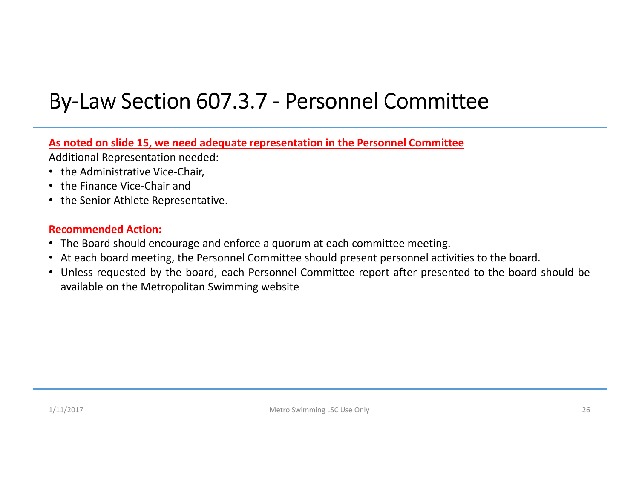## By-Law Section 607.3.7 - Personnel Committee

As noted on slide 15, we need adequate representation in the Personnel Committee

Additional Representation needed:

- the Administrative Vice-Chair,
- the Finance Vice-Chair and
- the Senior Athlete Representative.

- The Board should encourage and enforce <sup>a</sup> quorum at each committee meeting.
- At each board meeting, the Personnel Committee should present personnel activities to the board.
- Unless requested by the board, each Personnel Committee report after presented to the board should be available on the Metropolitan Swimming website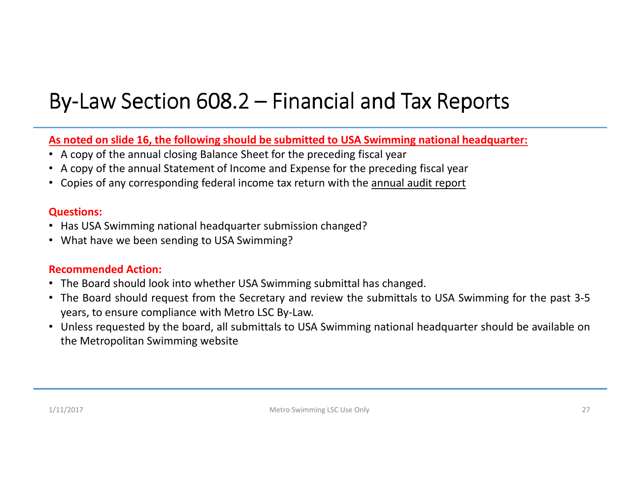### By-Law Section  $608.2$  – Financial and Tax Reports

<u>As noted on slide 16, the following should be submitted to USA Swimming national headquarter:</u>

- <sup>A</sup> copy of the annual closing Balance Sheet for the preceding fiscal year
- <sup>A</sup> copy of the annual Statement of Income and Expense for the preceding fiscal year
- Copies of any corresponding federal income tax return with the **annual audit report**

#### **Questions:**

- Has USA Swimming national headquarter submission changed?
- What have we been sending to USA Swimming?

- The Board should look into whether USA Swimming submittal has changed.
- The Board should request from the Secretary and review the submittals to USA Swimming for the past 3-5years, to ensure compliance with Metro LSC By-Law.
- Unless requested by the board, all submittals to USA Swimming national headquarter should be available onthe Metropolitan Swimming website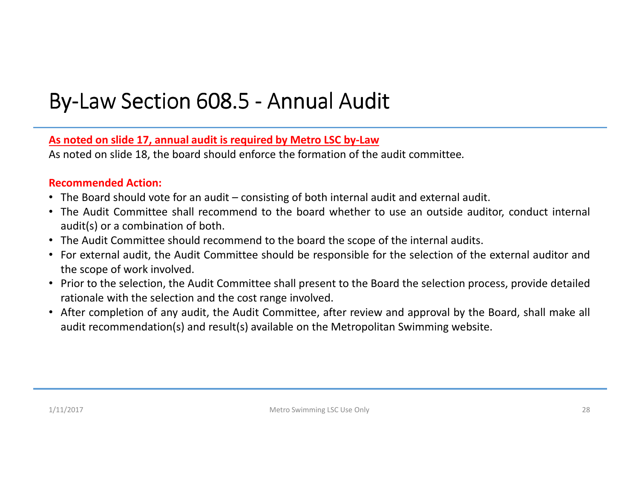### By-Law Section 608.5 - Annual Audit

### As noted on slide 17, annual audit is required by Metro LSC by-Law

As noted on slide 18, the board should enforce the formation of the audit committee*.*

- The Board should vote for an audit consisting of both internal audit and external audit.
- The Audit Committee shall recommend to the board whether to use an outside auditor, conduct internal audit(s) or <sup>a</sup> combination of both.
- The Audit Committee should recommend to the board the scope of the internal audits.
- For external audit, the Audit Committee should be responsible for the selection of the external auditor andthe scope of work involved.
- Prior to the selection, the Audit Committee shall present to the Board the selection process, provide detailed rationale with the selection and the cost range involved.
- After completion of any audit, the Audit Committee, after review and approval by the Board, shall make all audit recommendation(s) and result(s) available on the Metropolitan Swimming website.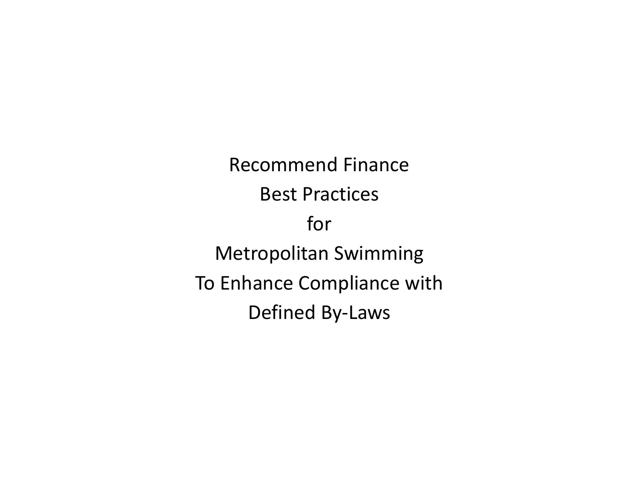Recommend FinanceBest PracticesforMetropolitan Swimming To Enhance Compliance withDefined By-Laws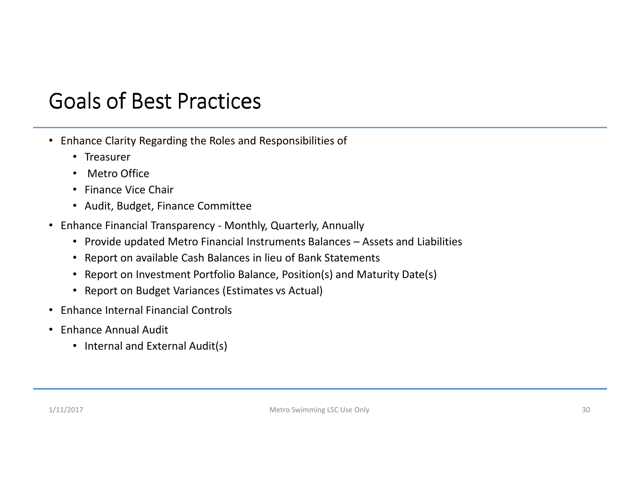### Goals of Best Practices

- Enhance Clarity Regarding the Roles and Responsibilities of
	- Treasurer
	- •Metro Office
	- Finance Vice Chair
	- Audit, Budget, Finance Committee
- Enhance Financial Transparency Monthly, Quarterly, Annually
	- Provide updated Metro Financial Instruments Balances Assets and Liabilities
	- Report on available Cash Balances in lieu of Bank Statements
	- Report on Investment Portfolio Balance, Position(s) and Maturity Date(s)
	- Report on Budget Variances (Estimates vs Actual)
- Enhance Internal Financial Controls
- Enhance Annual Audit
	- Internal and External Audit(s)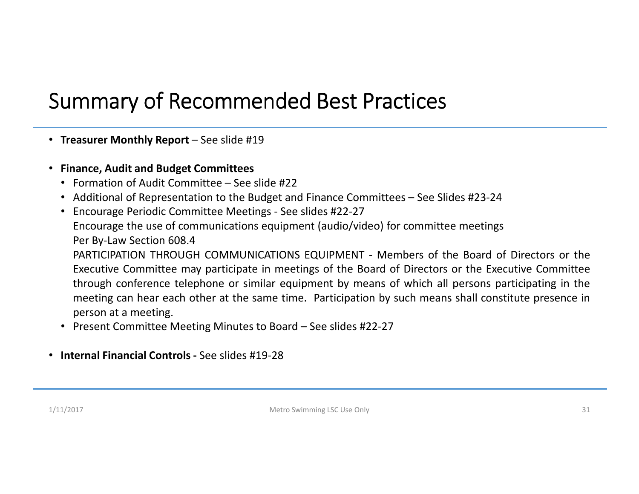### Summary of Recommended Best Practices

- **Treasurer Monthly Report** See slide #19
- **Finance, Audit and Budget Committees**
	- Formation of Audit Committee See slide #22
	- Additional of Representation to the Budget and Finance Committees See Slides #23-24
	- Encourage Periodic Committee Meetings See slides #22-27 Encourage the use of communications equipment (audio/video) for committee meetings Per By-Law Section 608.4

 PARTICIPATION THROUGH COMMUNICATIONS EQUIPMENT - Members of the Board of Directors or the Executive Committee may participate in meetings of the Board of Directors or the Executive Committee through conference telephone or similar equipment by means of which all persons participating in the meeting can hear each other at the same time. Participation by such means shall constitute presence inperson at <sup>a</sup> meeting.

- Present Committee Meeting Minutes to Board See slides #22-27
- **Internal Financial Controls -** See slides #19-28